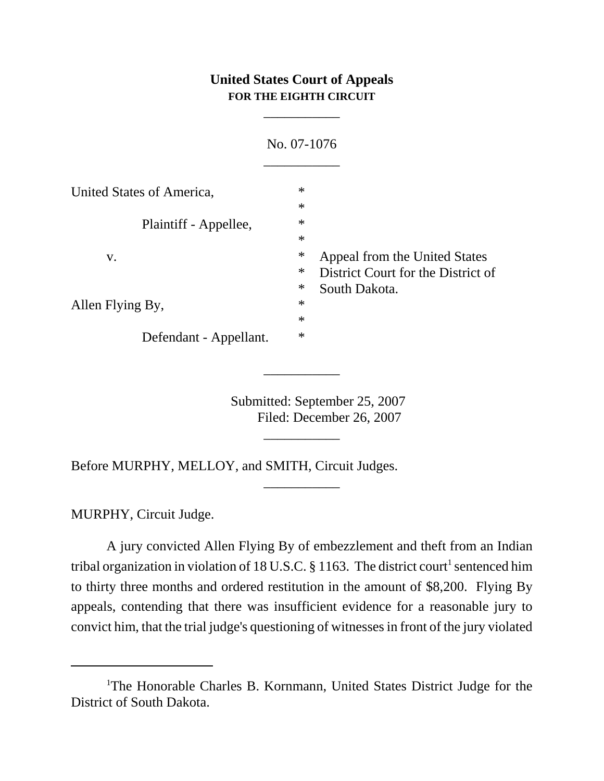## **United States Court of Appeals FOR THE EIGHTH CIRCUIT**

\_\_\_\_\_\_\_\_\_\_\_

|                           | No. 07-1076                                  |  |
|---------------------------|----------------------------------------------|--|
| United States of America, | $\ast$                                       |  |
|                           | $\ast$                                       |  |
| Plaintiff - Appellee,     | $\ast$                                       |  |
|                           | $\ast$                                       |  |
| V.<br>Allen Flying By,    | $\ast$<br>Appeal from the United States      |  |
|                           | $\ast$<br>District Court for the District of |  |
|                           | $\ast$<br>South Dakota.                      |  |
|                           | $\ast$                                       |  |
|                           | $\ast$                                       |  |
| Defendant - Appellant.    | $\ast$                                       |  |

Submitted: September 25, 2007 Filed: December 26, 2007

\_\_\_\_\_\_\_\_\_\_\_

\_\_\_\_\_\_\_\_\_\_\_

\_\_\_\_\_\_\_\_\_\_\_

Before MURPHY, MELLOY, and SMITH, Circuit Judges.

MURPHY, Circuit Judge.

A jury convicted Allen Flying By of embezzlement and theft from an Indian tribal organization in violation of 18 U.S.C. § 1163. The district court<sup>1</sup> sentenced him to thirty three months and ordered restitution in the amount of \$8,200. Flying By appeals, contending that there was insufficient evidence for a reasonable jury to convict him, that the trial judge's questioning of witnesses in front of the jury violated

<sup>&</sup>lt;sup>1</sup>The Honorable Charles B. Kornmann, United States District Judge for the District of South Dakota.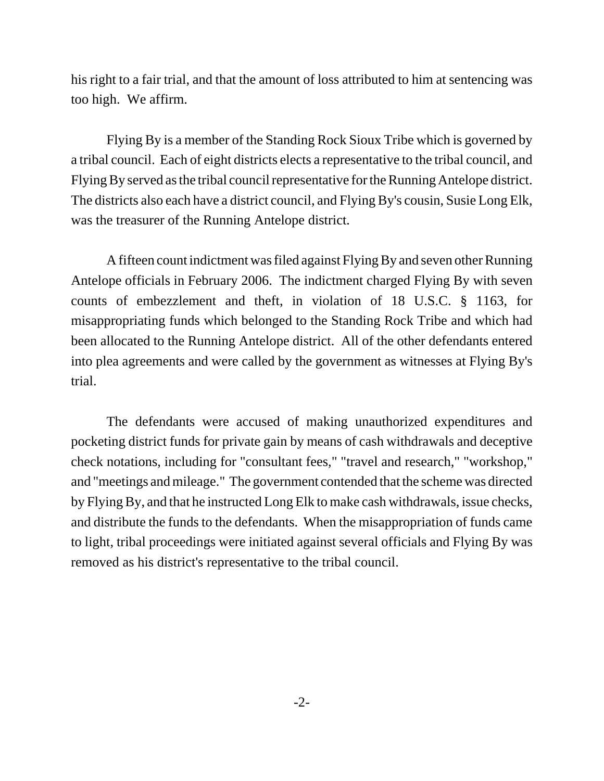his right to a fair trial, and that the amount of loss attributed to him at sentencing was too high. We affirm.

Flying By is a member of the Standing Rock Sioux Tribe which is governed by a tribal council. Each of eight districts elects a representative to the tribal council, and Flying By served as the tribal council representative for the Running Antelope district. The districts also each have a district council, and Flying By's cousin, Susie Long Elk, was the treasurer of the Running Antelope district.

A fifteen count indictment was filed against Flying By and seven other Running Antelope officials in February 2006. The indictment charged Flying By with seven counts of embezzlement and theft, in violation of 18 U.S.C. § 1163, for misappropriating funds which belonged to the Standing Rock Tribe and which had been allocated to the Running Antelope district. All of the other defendants entered into plea agreements and were called by the government as witnesses at Flying By's trial.

The defendants were accused of making unauthorized expenditures and pocketing district funds for private gain by means of cash withdrawals and deceptive check notations, including for "consultant fees," "travel and research," "workshop," and "meetings and mileage." The government contended that the scheme was directed by Flying By, and that he instructed Long Elk to make cash withdrawals, issue checks, and distribute the funds to the defendants. When the misappropriation of funds came to light, tribal proceedings were initiated against several officials and Flying By was removed as his district's representative to the tribal council.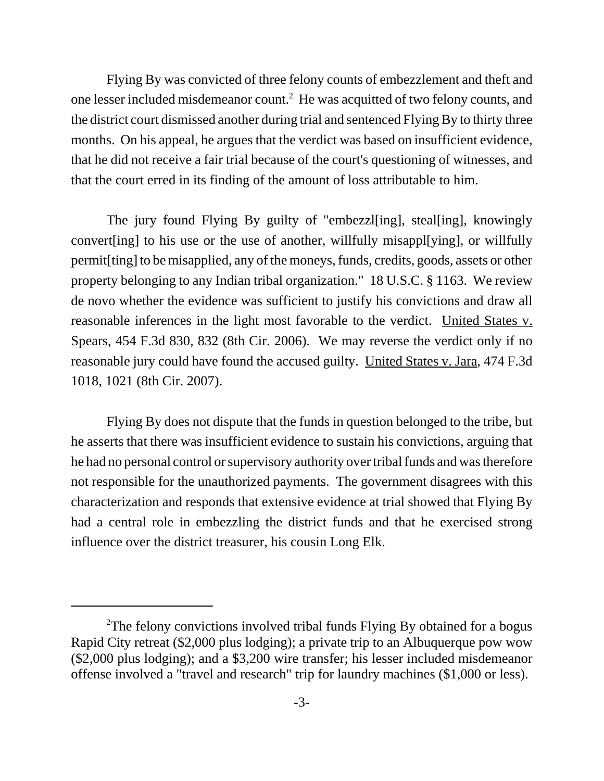Flying By was convicted of three felony counts of embezzlement and theft and one lesser included misdemeanor count.<sup>2</sup> He was acquitted of two felony counts, and the district court dismissed another during trial and sentenced Flying By to thirty three months. On his appeal, he argues that the verdict was based on insufficient evidence, that he did not receive a fair trial because of the court's questioning of witnesses, and that the court erred in its finding of the amount of loss attributable to him.

The jury found Flying By guilty of "embezzl[ing], steal[ing], knowingly convert[ing] to his use or the use of another, willfully misappl[ying], or willfully permit[ting] to be misapplied, any of the moneys, funds, credits, goods, assets or other property belonging to any Indian tribal organization." 18 U.S.C. § 1163. We review de novo whether the evidence was sufficient to justify his convictions and draw all reasonable inferences in the light most favorable to the verdict. United States v. Spears, 454 F.3d 830, 832 (8th Cir. 2006). We may reverse the verdict only if no reasonable jury could have found the accused guilty. United States v. Jara, 474 F.3d 1018, 1021 (8th Cir. 2007).

Flying By does not dispute that the funds in question belonged to the tribe, but he asserts that there was insufficient evidence to sustain his convictions, arguing that he had no personal control or supervisory authority over tribal funds and was therefore not responsible for the unauthorized payments. The government disagrees with this characterization and responds that extensive evidence at trial showed that Flying By had a central role in embezzling the district funds and that he exercised strong influence over the district treasurer, his cousin Long Elk.

<sup>&</sup>lt;sup>2</sup>The felony convictions involved tribal funds Flying By obtained for a bogus Rapid City retreat (\$2,000 plus lodging); a private trip to an Albuquerque pow wow (\$2,000 plus lodging); and a \$3,200 wire transfer; his lesser included misdemeanor offense involved a "travel and research" trip for laundry machines (\$1,000 or less).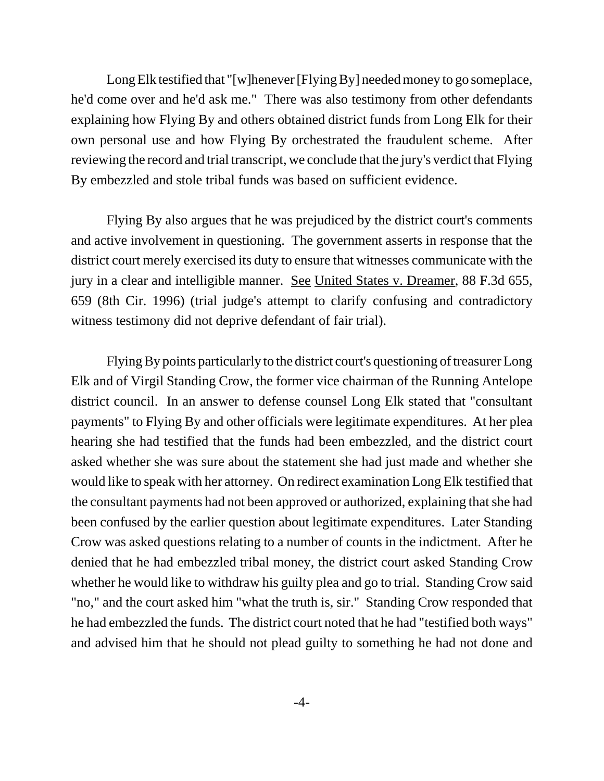Long Elk testified that "[w]henever [Flying By] needed money to go someplace, he'd come over and he'd ask me." There was also testimony from other defendants explaining how Flying By and others obtained district funds from Long Elk for their own personal use and how Flying By orchestrated the fraudulent scheme. After reviewing the record and trial transcript, we conclude that the jury's verdict that Flying By embezzled and stole tribal funds was based on sufficient evidence.

Flying By also argues that he was prejudiced by the district court's comments and active involvement in questioning. The government asserts in response that the district court merely exercised its duty to ensure that witnesses communicate with the jury in a clear and intelligible manner. See United States v. Dreamer, 88 F.3d 655, 659 (8th Cir. 1996) (trial judge's attempt to clarify confusing and contradictory witness testimony did not deprive defendant of fair trial).

Flying By points particularly to the district court's questioning of treasurer Long Elk and of Virgil Standing Crow, the former vice chairman of the Running Antelope district council. In an answer to defense counsel Long Elk stated that "consultant payments" to Flying By and other officials were legitimate expenditures. At her plea hearing she had testified that the funds had been embezzled, and the district court asked whether she was sure about the statement she had just made and whether she would like to speak with her attorney. On redirect examination Long Elk testified that the consultant payments had not been approved or authorized, explaining that she had been confused by the earlier question about legitimate expenditures. Later Standing Crow was asked questions relating to a number of counts in the indictment. After he denied that he had embezzled tribal money, the district court asked Standing Crow whether he would like to withdraw his guilty plea and go to trial. Standing Crow said "no," and the court asked him "what the truth is, sir." Standing Crow responded that he had embezzled the funds. The district court noted that he had "testified both ways" and advised him that he should not plead guilty to something he had not done and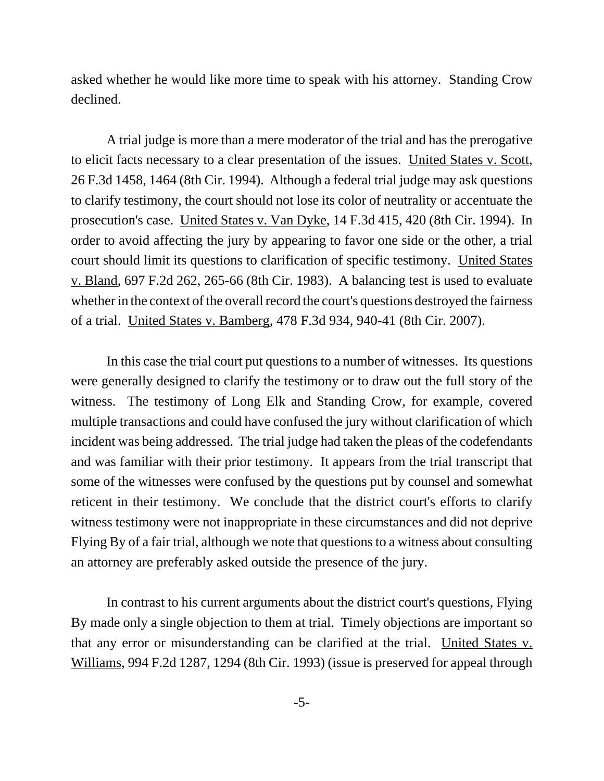asked whether he would like more time to speak with his attorney. Standing Crow declined.

A trial judge is more than a mere moderator of the trial and has the prerogative to elicit facts necessary to a clear presentation of the issues. United States v. Scott, 26 F.3d 1458, 1464 (8th Cir. 1994). Although a federal trial judge may ask questions to clarify testimony, the court should not lose its color of neutrality or accentuate the prosecution's case. United States v. Van Dyke, 14 F.3d 415, 420 (8th Cir. 1994). In order to avoid affecting the jury by appearing to favor one side or the other, a trial court should limit its questions to clarification of specific testimony. United States v. Bland, 697 F.2d 262, 265-66 (8th Cir. 1983). A balancing test is used to evaluate whether in the context of the overall record the court's questions destroyed the fairness of a trial. United States v. Bamberg, 478 F.3d 934, 940-41 (8th Cir. 2007).

In this case the trial court put questions to a number of witnesses. Its questions were generally designed to clarify the testimony or to draw out the full story of the witness. The testimony of Long Elk and Standing Crow, for example, covered multiple transactions and could have confused the jury without clarification of which incident was being addressed. The trial judge had taken the pleas of the codefendants and was familiar with their prior testimony. It appears from the trial transcript that some of the witnesses were confused by the questions put by counsel and somewhat reticent in their testimony. We conclude that the district court's efforts to clarify witness testimony were not inappropriate in these circumstances and did not deprive Flying By of a fair trial, although we note that questions to a witness about consulting an attorney are preferably asked outside the presence of the jury.

In contrast to his current arguments about the district court's questions, Flying By made only a single objection to them at trial. Timely objections are important so that any error or misunderstanding can be clarified at the trial. United States v. Williams, 994 F.2d 1287, 1294 (8th Cir. 1993) (issue is preserved for appeal through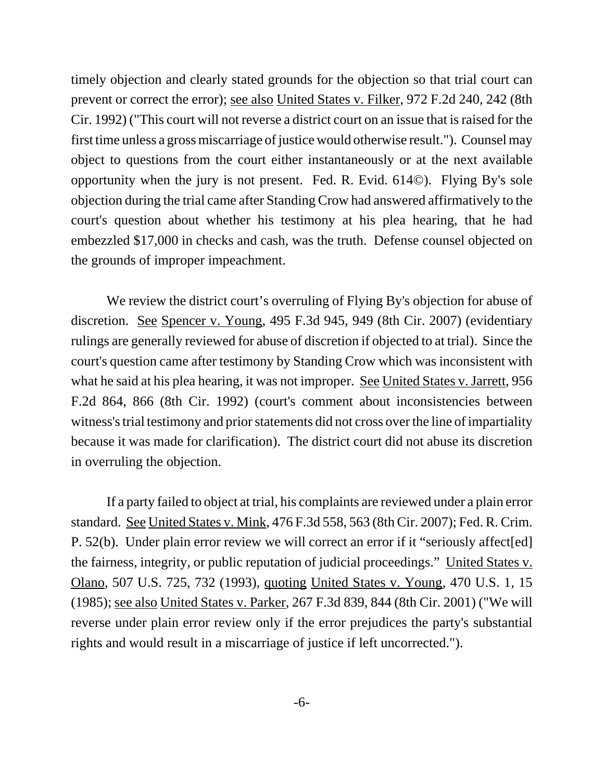timely objection and clearly stated grounds for the objection so that trial court can prevent or correct the error); see also United States v. Filker, 972 F.2d 240, 242 (8th Cir. 1992) ("This court will not reverse a district court on an issue that is raised for the first time unless a gross miscarriage of justice would otherwise result."). Counsel may object to questions from the court either instantaneously or at the next available opportunity when the jury is not present. Fed. R. Evid. 614©). Flying By's sole objection during the trial came after Standing Crow had answered affirmatively to the court's question about whether his testimony at his plea hearing, that he had embezzled \$17,000 in checks and cash, was the truth. Defense counsel objected on the grounds of improper impeachment.

We review the district court's overruling of Flying By's objection for abuse of discretion. See Spencer v. Young, 495 F.3d 945, 949 (8th Cir. 2007) (evidentiary rulings are generally reviewed for abuse of discretion if objected to at trial). Since the court's question came after testimony by Standing Crow which was inconsistent with what he said at his plea hearing, it was not improper. See United States v. Jarrett, 956 F.2d 864, 866 (8th Cir. 1992) (court's comment about inconsistencies between witness's trial testimony and prior statements did not cross over the line of impartiality because it was made for clarification). The district court did not abuse its discretion in overruling the objection.

If a party failed to object at trial, his complaints are reviewed under a plain error standard. See United States v. Mink, 476 F.3d 558, 563 (8th Cir. 2007); Fed. R. Crim. P. 52(b). Under plain error review we will correct an error if it "seriously affect[ed] the fairness, integrity, or public reputation of judicial proceedings." United States v. Olano, 507 U.S. 725, 732 (1993), quoting United States v. Young, 470 U.S. 1, 15 (1985); see also United States v. Parker, 267 F.3d 839, 844 (8th Cir. 2001) ("We will reverse under plain error review only if the error prejudices the party's substantial rights and would result in a miscarriage of justice if left uncorrected.").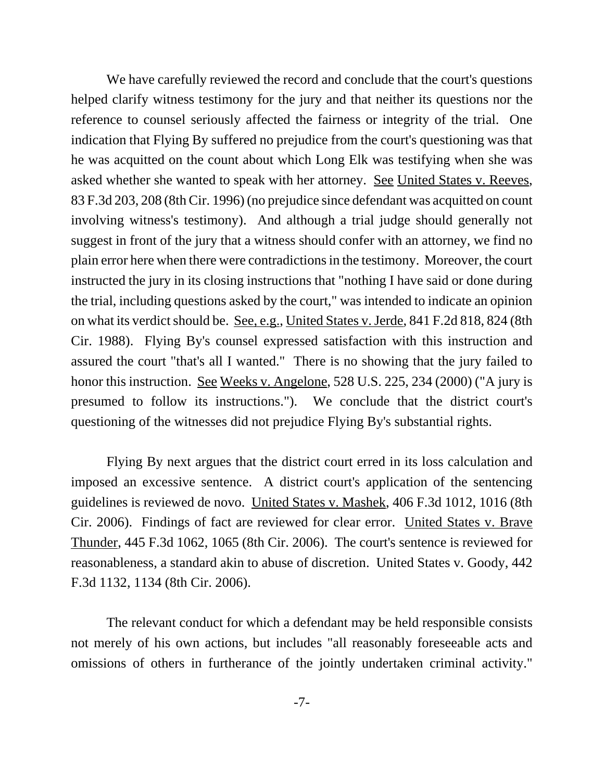We have carefully reviewed the record and conclude that the court's questions helped clarify witness testimony for the jury and that neither its questions nor the reference to counsel seriously affected the fairness or integrity of the trial. One indication that Flying By suffered no prejudice from the court's questioning was that he was acquitted on the count about which Long Elk was testifying when she was asked whether she wanted to speak with her attorney. See United States v. Reeves, 83 F.3d 203, 208 (8th Cir. 1996) (no prejudice since defendant was acquitted on count involving witness's testimony). And although a trial judge should generally not suggest in front of the jury that a witness should confer with an attorney, we find no plain error here when there were contradictions in the testimony. Moreover, the court instructed the jury in its closing instructions that "nothing I have said or done during the trial, including questions asked by the court," was intended to indicate an opinion on what its verdict should be. See, e.g., United States v. Jerde, 841 F.2d 818, 824 (8th Cir. 1988). Flying By's counsel expressed satisfaction with this instruction and assured the court "that's all I wanted." There is no showing that the jury failed to honor this instruction. See Weeks v. Angelone, 528 U.S. 225, 234 (2000) ("A jury is presumed to follow its instructions."). We conclude that the district court's questioning of the witnesses did not prejudice Flying By's substantial rights.

Flying By next argues that the district court erred in its loss calculation and imposed an excessive sentence. A district court's application of the sentencing guidelines is reviewed de novo. United States v. Mashek, 406 F.3d 1012, 1016 (8th Cir. 2006). Findings of fact are reviewed for clear error. United States v. Brave Thunder, 445 F.3d 1062, 1065 (8th Cir. 2006). The court's sentence is reviewed for reasonableness, a standard akin to abuse of discretion. United States v. Goody, 442 F.3d 1132, 1134 (8th Cir. 2006).

The relevant conduct for which a defendant may be held responsible consists not merely of his own actions, but includes "all reasonably foreseeable acts and omissions of others in furtherance of the jointly undertaken criminal activity."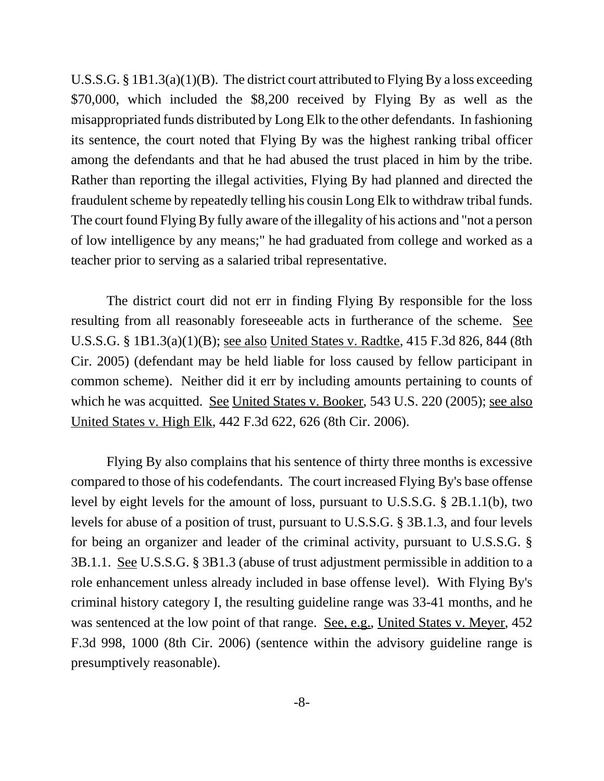U.S.S.G. § 1B1.3(a)(1)(B). The district court attributed to Flying By a loss exceeding \$70,000, which included the \$8,200 received by Flying By as well as the misappropriated funds distributed by Long Elk to the other defendants. In fashioning its sentence, the court noted that Flying By was the highest ranking tribal officer among the defendants and that he had abused the trust placed in him by the tribe. Rather than reporting the illegal activities, Flying By had planned and directed the fraudulent scheme by repeatedly telling his cousin Long Elk to withdraw tribal funds. The court found Flying By fully aware of the illegality of his actions and "not a person of low intelligence by any means;" he had graduated from college and worked as a teacher prior to serving as a salaried tribal representative.

The district court did not err in finding Flying By responsible for the loss resulting from all reasonably foreseeable acts in furtherance of the scheme. See U.S.S.G. § 1B1.3(a)(1)(B); see also United States v. Radtke, 415 F.3d 826, 844 (8th Cir. 2005) (defendant may be held liable for loss caused by fellow participant in common scheme). Neither did it err by including amounts pertaining to counts of which he was acquitted. See United States v. Booker, 543 U.S. 220 (2005); see also United States v. High Elk, 442 F.3d 622, 626 (8th Cir. 2006).

Flying By also complains that his sentence of thirty three months is excessive compared to those of his codefendants. The court increased Flying By's base offense level by eight levels for the amount of loss, pursuant to U.S.S.G. § 2B.1.1(b), two levels for abuse of a position of trust, pursuant to U.S.S.G. § 3B.1.3, and four levels for being an organizer and leader of the criminal activity, pursuant to U.S.S.G. § 3B.1.1. See U.S.S.G. § 3B1.3 (abuse of trust adjustment permissible in addition to a role enhancement unless already included in base offense level). With Flying By's criminal history category I, the resulting guideline range was 33-41 months, and he was sentenced at the low point of that range. <u>See, e.g., United States v. Meyer</u>, 452 F.3d 998, 1000 (8th Cir. 2006) (sentence within the advisory guideline range is presumptively reasonable).